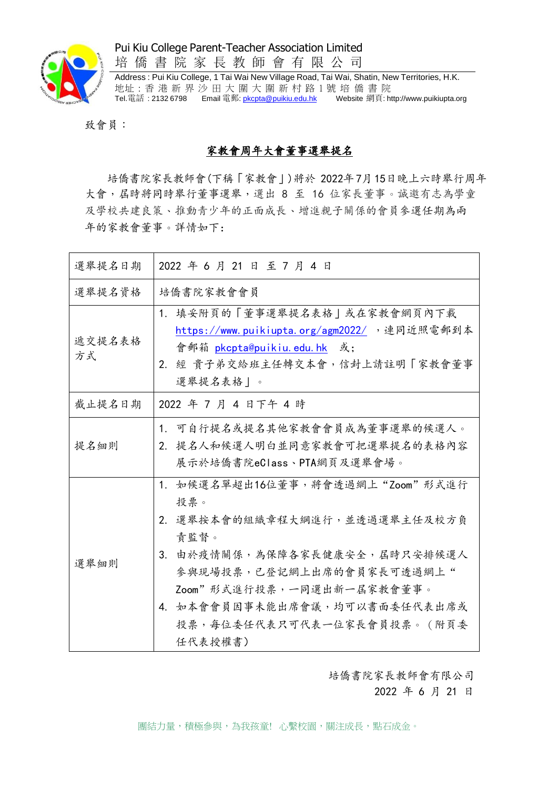

Pui Kiu College Parent-Teacher Association Limited

培 僑 書 院 家 長 教 師 會 有 限 公 司 Address : Pui Kiu College, 1 Tai Wai New Village Road, Tai Wai, Shatin, New Territories, H.K.

地址 : 香 港 新 界 沙 田 大 圍 大 圍 新 村 路 1 號 培 僑 書 院 Tel.電話:2132 6798 Email 電郵: <u>[pkcpta@puikiu.edu.hk](mailto:pkcpta@puikiu.edu.hk)</u> Website 網頁[: http://www.puikiupta.org](http://www.puikiupta.org/)

致會員:

## 家教會周年大會董事選舉提名

培僑書院家長教師會(下稱「家教會」)將於 2022年7月15日晚上六時舉行周年 大會, 居時將同時舉行董事選舉,選出 8 至 16 位家長董事。誠邀有志為學童 及學校共建良策、推動青少年的正面成長、增進親子關係的會員參選任期為兩 年的家教會董事。詳情如下:

| 選舉提名日期       | 2022 年 6 月 21 日 至 7 月 4 日                                                                                                                                                                                                                                 |
|--------------|-----------------------------------------------------------------------------------------------------------------------------------------------------------------------------------------------------------------------------------------------------------|
| 選舉提名資格       | 培僑書院家教會會員                                                                                                                                                                                                                                                 |
| 遞交提名表格<br>方式 | 填妥附頁的「董事選舉提名表格 或在家教會網頁內下載<br>1.<br>https://www.puikiupta.org/agm2022/ , 連同近照電郵到本<br>會郵箱 pkcpta@puikiu.edu.hk 或;<br>2. 經 貴子弟交給班主任轉交本會,信封上請註明「家教會董事<br>選舉提名表格 。                                                                                             |
| 截止提名日期       | 2022 年 7 月 4 日下午 4 時                                                                                                                                                                                                                                      |
| 提名細則         | 1.可自行提名或提名其他家教會會員成為董事選舉的候選人。<br>2. 提名人和候選人明白並同意家教會可把選舉提名的表格內容<br>展示於培僑書院eClass、PTA網頁及選舉會場。                                                                                                                                                                |
| 選舉細則         | 1. 如候選名單超出16位董事,將會透過網上"Zoom"形式進行<br>投票。<br>2. 選舉按本會的組織章程大綱進行,並透過選舉主任及校方負<br>責監督。<br>由於疫情關係,為保障各家長健康安全,屆時只安排候選人<br>3.<br>參與現場投票,已登記網上出席的會員家長可透過網上"<br>Zoom"形式進行投票,一同選出新一屆家教會董事。<br>4. 如本會會員因事未能出席會議,均可以書面委任代表出席或<br>投票,每位委任代表只可代表一位家長會員投票。 (附頁委<br>任代表授權書) |

培僑書院家長教師會有限公司

2022 年 6 月 21 日

團結力量,積極參與,為我孩童!心繫校園,關注成長,點石成金。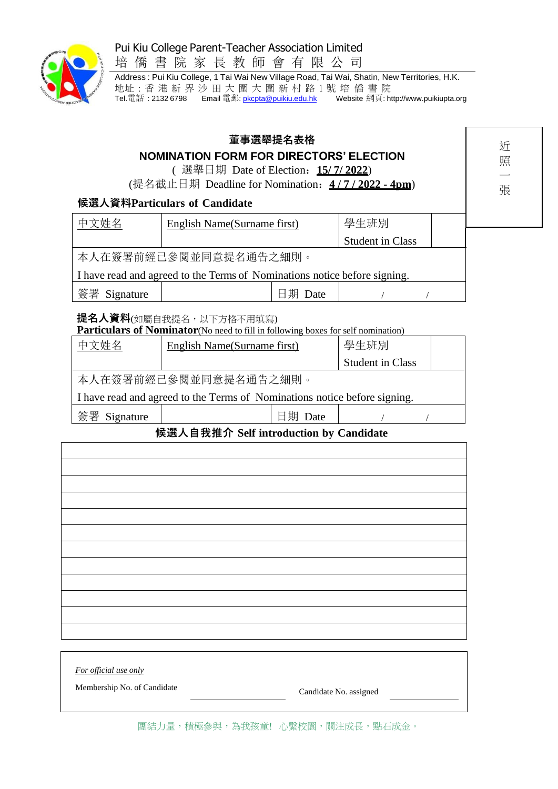## Pui Kiu College Parent-Teacher Association Limited



培 僑 書 院 家 長 教 師 會 有 限 公 司

Address : Pui Kiu College, 1 Tai Wai New Village Road, Tai Wai, Shatin, New Territories, H.K. 地址 : 香 港 新 界 沙 田 大 圍 大 圍 新 村 路 1 號 培 僑 書 院 Tel.電話:2132 6798 Email 電郵: <u>[pkcpta@puikiu.edu.hk](mailto:pkcpta@puikiu.edu.hk)</u> Website 網頁[: http://www.puikiupta.org](http://www.puikiupta.org/)

| 董事選舉提名表格<br><b>NOMINATION FORM FOR DIRECTORS' ELECTION</b><br>(選舉日期 Date of Election: 15/7/2022)<br>(提名截止日期 Deadline for Nomination: 4/7/2022 - 4pm)<br>候選人資料Particulars of Candidate<br>中文姓名<br>學生班別<br>English Name(Surname first)<br><b>Student in Class</b><br>本人在簽署前經已參閱並同意提名通告之細則。 |                                                                                                             |         |                         |  | 近<br>照<br>張 |  |  |
|------------------------------------------------------------------------------------------------------------------------------------------------------------------------------------------------------------------------------------------------------------------------------------------|-------------------------------------------------------------------------------------------------------------|---------|-------------------------|--|-------------|--|--|
|                                                                                                                                                                                                                                                                                          | I have read and agreed to the Terms of Nominations notice before signing.                                   |         |                         |  |             |  |  |
| 簽署 Signature                                                                                                                                                                                                                                                                             |                                                                                                             | 日期 Date |                         |  |             |  |  |
|                                                                                                                                                                                                                                                                                          | 提名人資料(如屬自我提名,以下方格不用填寫)<br>Particulars of Nominator (No need to fill in following boxes for self nomination) |         |                         |  |             |  |  |
| 中文姓名                                                                                                                                                                                                                                                                                     | <b>English Name</b> (Surname first)                                                                         |         | 學生班別                    |  |             |  |  |
|                                                                                                                                                                                                                                                                                          |                                                                                                             |         | <b>Student in Class</b> |  |             |  |  |
|                                                                                                                                                                                                                                                                                          | 本人在簽署前經已參閱並同意提名通告之細則。                                                                                       |         |                         |  |             |  |  |
|                                                                                                                                                                                                                                                                                          | I have read and agreed to the Terms of Nominations notice before signing.                                   |         |                         |  |             |  |  |
| 簽署 Signature                                                                                                                                                                                                                                                                             |                                                                                                             | 日期 Date |                         |  |             |  |  |
|                                                                                                                                                                                                                                                                                          | 候選人自我推介 Self introduction by Candidate                                                                      |         |                         |  |             |  |  |
|                                                                                                                                                                                                                                                                                          |                                                                                                             |         |                         |  |             |  |  |
|                                                                                                                                                                                                                                                                                          |                                                                                                             |         |                         |  |             |  |  |
|                                                                                                                                                                                                                                                                                          |                                                                                                             |         |                         |  |             |  |  |
|                                                                                                                                                                                                                                                                                          |                                                                                                             |         |                         |  |             |  |  |
|                                                                                                                                                                                                                                                                                          |                                                                                                             |         |                         |  |             |  |  |
|                                                                                                                                                                                                                                                                                          |                                                                                                             |         |                         |  |             |  |  |
|                                                                                                                                                                                                                                                                                          |                                                                                                             |         |                         |  |             |  |  |
|                                                                                                                                                                                                                                                                                          |                                                                                                             |         |                         |  |             |  |  |
|                                                                                                                                                                                                                                                                                          |                                                                                                             |         |                         |  |             |  |  |
|                                                                                                                                                                                                                                                                                          |                                                                                                             |         |                         |  |             |  |  |

*For official use only*

Membership No. of Candidate Candidate Candidate No. assigned

團結力量,積極參與,為我孩童!心繫校園,關注成長,點石成金。